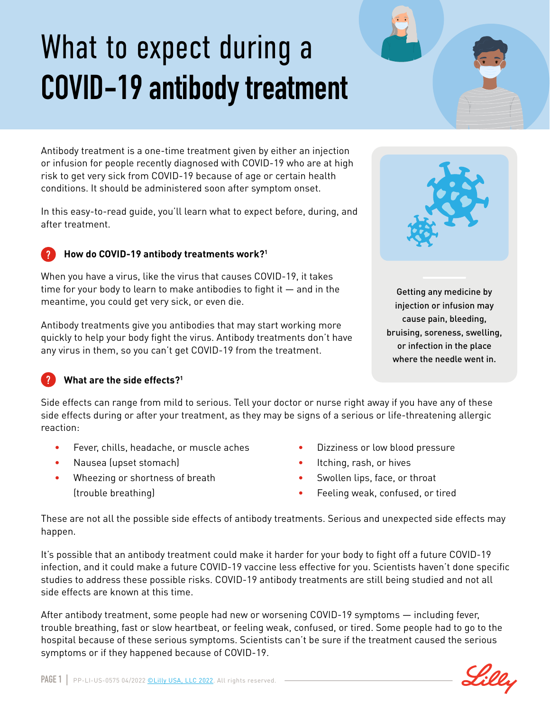# What to expect during a **COVID-19 antibody treatment**

Antibody treatment is a one-time treatment given by either an injection or infusion for people recently diagnosed with COVID-19 who are at high risk to get very sick from COVID-19 because of age or certain health conditions. It should be administered soon after symptom onset.

In this easy-to-read guide, you'll learn what to expect before, during, and after treatment.

# **How do COVID-19 antibody treatments work?1**

When you have a virus, like the virus that causes COVID-19, it takes time for your body to learn to make antibodies to fight it — and in the meantime, you could get very sick, or even die.

Antibody treatments give you antibodies that may start working more quickly to help your body fight the virus. Antibody treatments don't have any virus in them, so you can't get COVID-19 from the treatment.



Getting any medicine by injection or infusion may cause pain, bleeding, bruising, soreness, swelling, or infection in the place where the needle went in.

# **What are the side effects?1**

?

?

Side effects can range from mild to serious. Tell your doctor or nurse right away if you have any of these side effects during or after your treatment, as they may be signs of a serious or life-threatening allergic reaction:

- Fever, chills, headache, or muscle aches
- Nausea (upset stomach)
- Wheezing or shortness of breath (trouble breathing)
- Dizziness or low blood pressure
- Itching, rash, or hives
- Swollen lips, face, or throat
- Feeling weak, confused, or tired

These are not all the possible side effects of antibody treatments. Serious and unexpected side effects may happen.

It's possible that an antibody treatment could make it harder for your body to fight off a future COVID-19 infection, and it could make a future COVID-19 vaccine less effective for you. Scientists haven't done specific studies to address these possible risks. COVID-19 antibody treatments are still being studied and not all side effects are known at this time.

After antibody treatment, some people had new or worsening COVID-19 symptoms — including fever, trouble breathing, fast or slow heartbeat, or feeling weak, confused, or tired. Some people had to go to the hospital because of these serious symptoms. Scientists can't be sure if the treatment caused the serious symptoms or if they happened because of COVID-19.